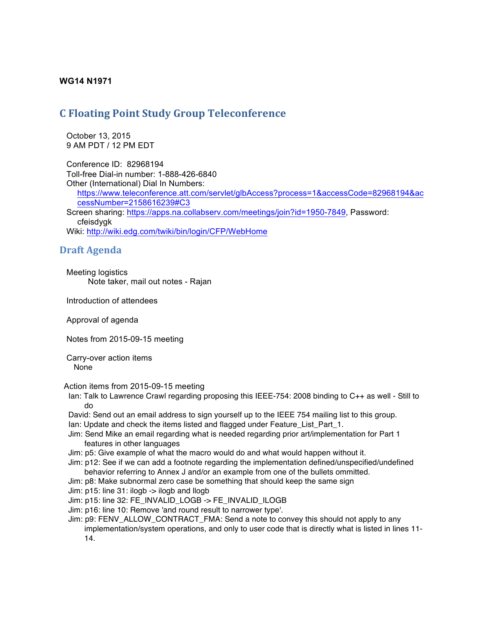## **WG14 N1971**

## **C Floating Point Study Group Teleconference**

 October 13, 2015 9 AM PDT / 12 PM EDT

 Conference ID: 82968194 Toll-free Dial-in number: 1-888-426-6840 Other (International) Dial In Numbers: https://www.teleconference.att.com/servlet/glbAccess?process=1&accessCode=82968194&ac cessNumber=2158616239#C3 Screen sharing: https://apps.na.collabserv.com/meetings/join?id=1950-7849, Password: cfeisdygk Wiki: http://wiki.edg.com/twiki/bin/login/CFP/WebHome

## **Draft Agenda**

 Meeting logistics Note taker, mail out notes - Rajan

Introduction of attendees

Approval of agenda

Notes from 2015-09-15 meeting

 Carry-over action items None

Action items from 2015-09-15 meeting

Ian: Talk to Lawrence Crawl regarding proposing this IEEE-754: 2008 binding to C++ as well - Still to do

David: Send out an email address to sign yourself up to the IEEE 754 mailing list to this group. Ian: Update and check the items listed and flagged under Feature\_List\_Part\_1.

- Jim: Send Mike an email regarding what is needed regarding prior art/implementation for Part 1 features in other languages
- Jim: p5: Give example of what the macro would do and what would happen without it.
- Jim: p12: See if we can add a footnote regarding the implementation defined/unspecified/undefined behavior referring to Annex J and/or an example from one of the bullets ommitted.
- Jim: p8: Make subnormal zero case be something that should keep the same sign
- Jim: p15: line 31: ilogb -> ilogb and llogb
- Jim: p15: line 32: FE\_INVALID\_LOGB -> FE\_INVALID\_ILOGB
- Jim: p16: line 10: Remove 'and round result to narrower type'.
- Jim: p9: FENV\_ALLOW\_CONTRACT\_FMA: Send a note to convey this should not apply to any

implementation/system operations, and only to user code that is directly what is listed in lines 11- 14.